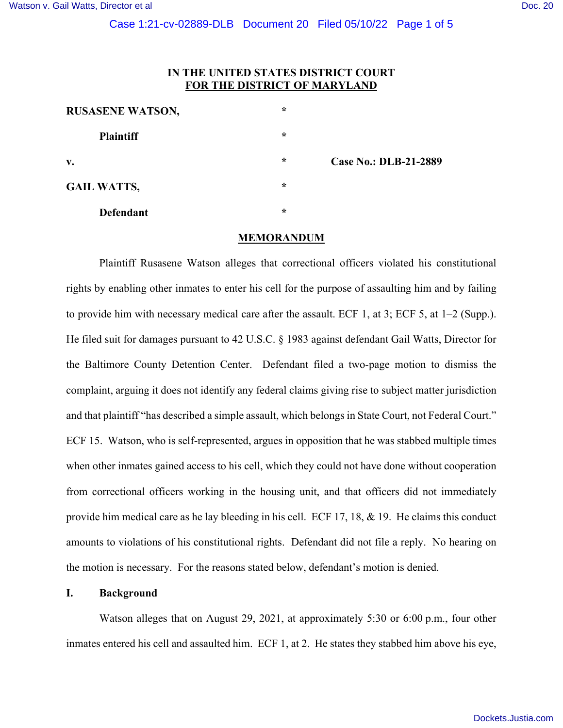# **IN THE UNITED STATES DISTRICT COURT FOR THE DISTRICT OF MARYLAND**

| <b>RUSASENE WATSON,</b> | $\star$ |                              |
|-------------------------|---------|------------------------------|
| <b>Plaintiff</b>        | $\star$ |                              |
| $V_{\bullet}$           | $\star$ | <b>Case No.: DLB-21-2889</b> |
| <b>GAIL WATTS,</b>      | $\star$ |                              |
| <b>Defendant</b>        | $\star$ |                              |

#### **MEMORANDUM**

 Plaintiff Rusasene Watson alleges that correctional officers violated his constitutional rights by enabling other inmates to enter his cell for the purpose of assaulting him and by failing to provide him with necessary medical care after the assault. ECF 1, at 3; ECF 5, at 1–2 (Supp.). He filed suit for damages pursuant to 42 U.S.C. § 1983 against defendant Gail Watts, Director for the Baltimore County Detention Center. Defendant filed a two-page motion to dismiss the complaint, arguing it does not identify any federal claims giving rise to subject matter jurisdiction and that plaintiff "has described a simple assault, which belongs in State Court, not Federal Court." ECF 15. Watson, who is self-represented, argues in opposition that he was stabbed multiple times when other inmates gained access to his cell, which they could not have done without cooperation from correctional officers working in the housing unit, and that officers did not immediately provide him medical care as he lay bleeding in his cell. ECF 17, 18, & 19. He claims this conduct amounts to violations of his constitutional rights. Defendant did not file a reply. No hearing on the motion is necessary. For the reasons stated below, defendant's motion is denied.

## **I. Background**

 Watson alleges that on August 29, 2021, at approximately 5:30 or 6:00 p.m., four other inmates entered his cell and assaulted him. ECF 1, at 2. He states they stabbed him above his eye,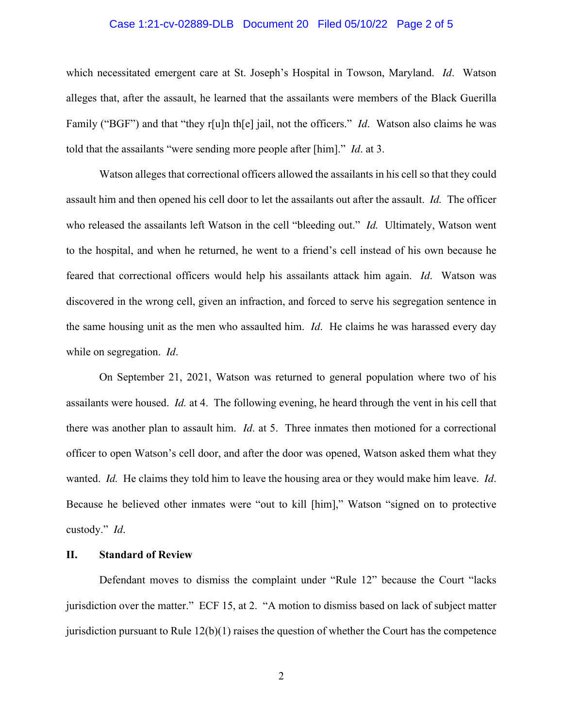# Case 1:21-cv-02889-DLB Document 20 Filed 05/10/22 Page 2 of 5

which necessitated emergent care at St. Joseph's Hospital in Towson, Maryland. *Id*. Watson alleges that, after the assault, he learned that the assailants were members of the Black Guerilla Family ("BGF") and that "they r[u]n th[e] jail, not the officers." *Id*. Watson also claims he was told that the assailants "were sending more people after [him]." *Id*. at 3.

 Watson alleges that correctional officers allowed the assailants in his cell so that they could assault him and then opened his cell door to let the assailants out after the assault. *Id.* The officer who released the assailants left Watson in the cell "bleeding out." *Id.* Ultimately, Watson went to the hospital, and when he returned, he went to a friend's cell instead of his own because he feared that correctional officers would help his assailants attack him again. *Id*. Watson was discovered in the wrong cell, given an infraction, and forced to serve his segregation sentence in the same housing unit as the men who assaulted him. *Id*. He claims he was harassed every day while on segregation. *Id*.

 On September 21, 2021, Watson was returned to general population where two of his assailants were housed. *Id.* at 4. The following evening, he heard through the vent in his cell that there was another plan to assault him. *Id*. at 5. Three inmates then motioned for a correctional officer to open Watson's cell door, and after the door was opened, Watson asked them what they wanted. *Id.* He claims they told him to leave the housing area or they would make him leave. *Id*. Because he believed other inmates were "out to kill [him]," Watson "signed on to protective custody." *Id*.

#### **II. Standard of Review**

Defendant moves to dismiss the complaint under "Rule 12" because the Court "lacks jurisdiction over the matter." ECF 15, at 2. "A motion to dismiss based on lack of subject matter jurisdiction pursuant to Rule  $12(b)(1)$  raises the question of whether the Court has the competence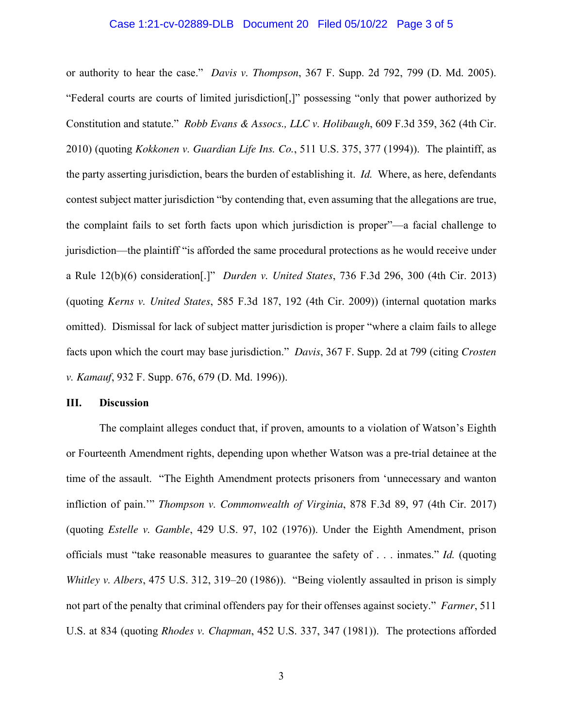## Case 1:21-cv-02889-DLB Document 20 Filed 05/10/22 Page 3 of 5

or authority to hear the case." *Davis v. Thompson*, 367 F. Supp. 2d 792, 799 (D. Md. 2005). "Federal courts are courts of limited jurisdiction[,]" possessing "only that power authorized by Constitution and statute." *Robb Evans & Assocs., LLC v. Holibaugh*, 609 F.3d 359, 362 (4th Cir. 2010) (quoting *Kokkonen v. Guardian Life Ins. Co.*, 511 U.S. 375, 377 (1994)). The plaintiff, as the party asserting jurisdiction, bears the burden of establishing it. *Id.* Where, as here, defendants contest subject matter jurisdiction "by contending that, even assuming that the allegations are true, the complaint fails to set forth facts upon which jurisdiction is proper"—a facial challenge to jurisdiction—the plaintiff "is afforded the same procedural protections as he would receive under a Rule 12(b)(6) consideration[.]" *Durden v. United States*, 736 F.3d 296, 300 (4th Cir. 2013) (quoting *Kerns v. United States*, 585 F.3d 187, 192 (4th Cir. 2009)) (internal quotation marks omitted). Dismissal for lack of subject matter jurisdiction is proper "where a claim fails to allege facts upon which the court may base jurisdiction." *Davis*, 367 F. Supp. 2d at 799 (citing *Crosten v. Kamauf*, 932 F. Supp. 676, 679 (D. Md. 1996)).

#### **III. Discussion**

 The complaint alleges conduct that, if proven, amounts to a violation of Watson's Eighth or Fourteenth Amendment rights, depending upon whether Watson was a pre-trial detainee at the time of the assault. "The Eighth Amendment protects prisoners from 'unnecessary and wanton infliction of pain.'" *Thompson v. Commonwealth of Virginia*, 878 F.3d 89, 97 (4th Cir. 2017) (quoting *Estelle v. Gamble*, 429 U.S. 97, 102 (1976)). Under the Eighth Amendment, prison officials must "take reasonable measures to guarantee the safety of . . . inmates." *Id.* (quoting *Whitley v. Albers*, 475 U.S. 312, 319–20 (1986)). "Being violently assaulted in prison is simply not part of the penalty that criminal offenders pay for their offenses against society." *Farmer*, 511 U.S. at 834 (quoting *Rhodes v. Chapman*, 452 U.S. 337, 347 (1981)). The protections afforded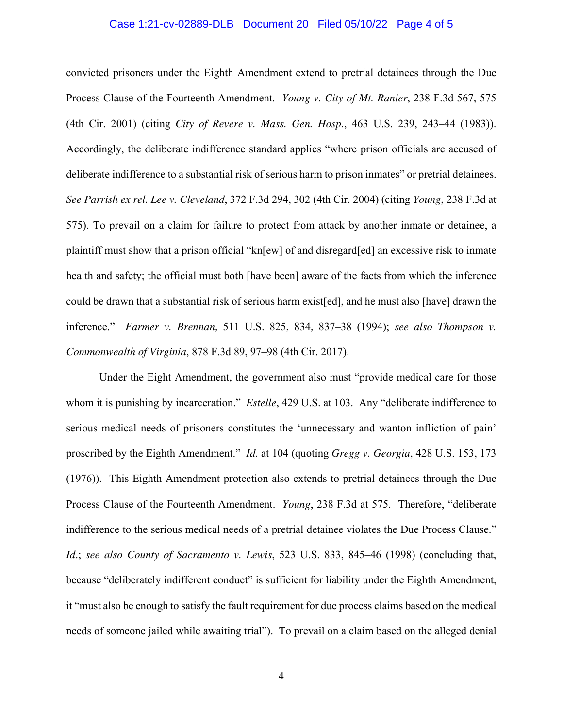## Case 1:21-cv-02889-DLB Document 20 Filed 05/10/22 Page 4 of 5

convicted prisoners under the Eighth Amendment extend to pretrial detainees through the Due Process Clause of the Fourteenth Amendment. *Young v. City of Mt. Ranier*, 238 F.3d 567, 575 (4th Cir. 2001) (citing *City of Revere v. Mass. Gen. Hosp.*, 463 U.S. 239, 243–44 (1983)). Accordingly, the deliberate indifference standard applies "where prison officials are accused of deliberate indifference to a substantial risk of serious harm to prison inmates" or pretrial detainees. *See Parrish ex rel. Lee v. Cleveland*, 372 F.3d 294, 302 (4th Cir. 2004) (citing *Young*, 238 F.3d at 575). To prevail on a claim for failure to protect from attack by another inmate or detainee, a plaintiff must show that a prison official "kn[ew] of and disregard[ed] an excessive risk to inmate health and safety; the official must both [have been] aware of the facts from which the inference could be drawn that a substantial risk of serious harm exist[ed], and he must also [have] drawn the inference." *Farmer v. Brennan*, 511 U.S. 825, 834, 837–38 (1994); *see also Thompson v. Commonwealth of Virginia*, 878 F.3d 89, 97–98 (4th Cir. 2017).

Under the Eight Amendment, the government also must "provide medical care for those whom it is punishing by incarceration." *Estelle*, 429 U.S. at 103. Any "deliberate indifference to serious medical needs of prisoners constitutes the 'unnecessary and wanton infliction of pain' proscribed by the Eighth Amendment." *Id.* at 104 (quoting *Gregg v. Georgia*, 428 U.S. 153, 173 (1976)). This Eighth Amendment protection also extends to pretrial detainees through the Due Process Clause of the Fourteenth Amendment. *Young*, 238 F.3d at 575. Therefore, "deliberate indifference to the serious medical needs of a pretrial detainee violates the Due Process Clause." *Id*.; *see also County of Sacramento v. Lewis*, 523 U.S. 833, 845–46 (1998) (concluding that, because "deliberately indifferent conduct" is sufficient for liability under the Eighth Amendment, it "must also be enough to satisfy the fault requirement for due process claims based on the medical needs of someone jailed while awaiting trial"). To prevail on a claim based on the alleged denial